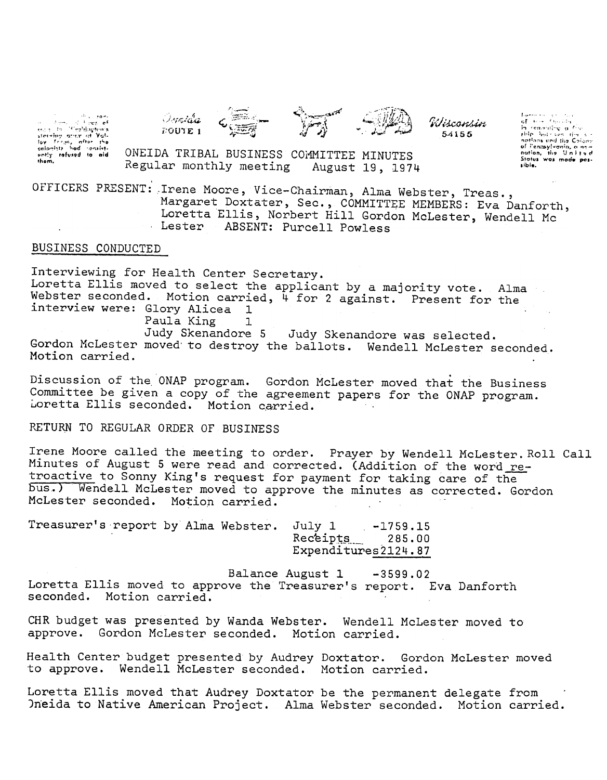i in international<br>Can international econ to "Cralification's<br>storeing street of Yols<br>for freqs, ofter the<br>colonists hod consist-<br>enly refused to oid<br>them,





Wisconsin 54155

 $\begin{array}{ll} \mathit{Inver}(\mathit{m}) \in \mathit{Con}(\mathit{m})\\ \mathit{of} \quad \mathit{Con} \quad \mathit{Con}(\mathit{m})\\ \mathit{in} \quad \mathit{femasing} \quad \mathit{of} \quad \mathit{Con} \end{array}$ this his sen  $\vec{m}$ notions and the Colons of Pennsylvania, a new<br>nation, the United<br>Stotus was mode passibia.

ONEIDA TRIBAL BUSINESS COMMITTEE MINUTES Regular monthly meeting August 19, 1974

OFFICERS PRESENT: Irene Moore, Vice-Chairman, Alma Webster, Treas., Margaret Doxtater, Sec., COMMITTEE MEMBERS: Eva Danforth, Loretta Ellis, Norbert Hill Gordon McLester, Wendell Mc Lester ABSENT: Purcell Powless

## BUSINESS CONDUCTED

Interviewing for Health Center Secretary. Loretta Ellis moved to select the applicant by a majority vote. Alma Webster seconded. Motion carried, 4 for 2 against. Present for the interview were: Glory Alicea 1 1

Paula King

Judy Skenandore 5 Judy Skenandore was selected. Gordon McLester moved to destroy the ballots. Wendell McLester seconded. Motion carried.

Discussion of the ONAP program. Gordon McLester moved that the Business Committee be given a copy of the agreement papers for the ONAP program. Loretta Ellis seconded. Motion carried.

RETURN TO REGULAR ORDER OF BUSINESS

Irene Moore called the meeting to order. Prayer by Wendell McLester. Roll Call Minutes of August 5 were read and corrected. (Addition of the word retroactive to Sonny King's request for payment for taking care of the bus.) Wendell McLester moved to approve the minutes as corrected. Gordon McLester seconded. Motion carried.

Treasurer's report by Alma Webster. July 1 -1759.15 Receipts 285.00 Expenditures2124.87

Balance August 1 -3599.02 Loretta Ellis moved to approve the Treasurer's report. Eva Danforth seconded. Motion carried.

CHR budget was presented by Wanda Webster. Wendell McLester moved to approve. Gordon McLester seconded. Motion carried.

Health Center budget presented by Audrey Doxtator. Gordon McLester moved to approve. Wendell McLester seconded. Motion carried.

Loretta Ellis moved that Audrey Doxtator be the permanent delegate from Oneida to Native American Project. Alma Webster seconded. Motion carried.